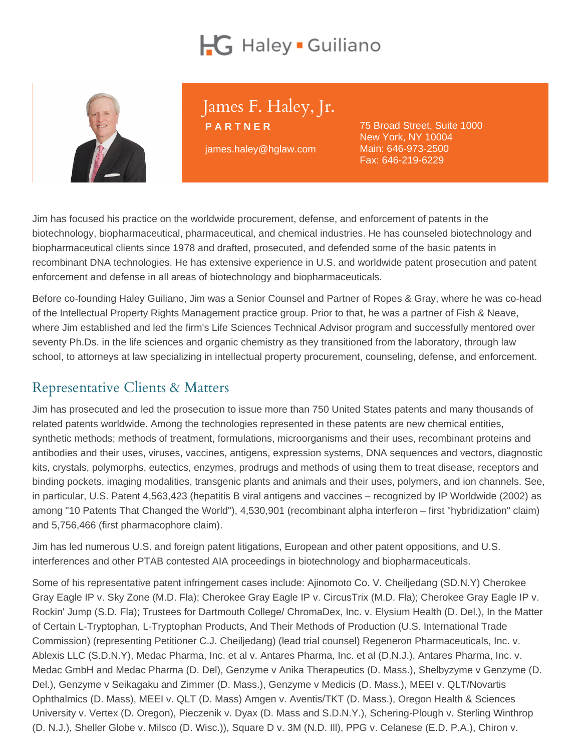# James F. Haley, Jr.

PARTNER james.haley@hglaw.com

75 Broad Street, Suite 1000 New York, NY 10004 Main: [646-973-2500](tel:+1-646-973-2500) Fax: 646-219-6229

Jim has focused his practice on the worldwide procurement, defense, and enforcement of patents in the biotechnology, biopharmaceutical, pharmaceutical, and chemical industries. He has counseled biotechnology and biopharmaceutical clients since 1978 and drafted, prosecuted, and defended some of the basic patents in recombinant DNA technologies. He has extensive experience in U.S. and worldwide patent prosecution and patent enforcement and defense in all areas of biotechnology and biopharmaceuticals.

Before co-founding Haley Guiliano, Jim was a Senior Counsel and Partner of Ropes & Gray, where he was co-head of the Intellectual Property Rights Management practice group. Prior to that, he was a partner of Fish & Neave, where Jim established and led the firm's Life Sciences Technical Advisor program and successfully mentored over seventy Ph.Ds. in the life sciences and organic chemistry as they transitioned from the laboratory, through law school, to attorneys at law specializing in intellectual property procurement, counseling, defense, and enforcement.

# Representative Clients & Matters

Jim has prosecuted and led the prosecution to issue more than 750 United States patents and many thousands of related patents worldwide. Among the technologies represented in these patents are new chemical entities, synthetic methods; methods of treatment, formulations, microorganisms and their uses, recombinant proteins and antibodies and their uses, viruses, vaccines, antigens, expression systems, DNA sequences and vectors, diagnostic kits, crystals, polymorphs, eutectics, enzymes, prodrugs and methods of using them to treat disease, receptors and binding pockets, imaging modalities, transgenic plants and animals and their uses, polymers, and ion channels. See, in particular, U.S. Patent 4,563,423 (hepatitis B viral antigens and vaccines – recognized by IP Worldwide (2002) as among "10 Patents That Changed the World"), 4,530,901 (recombinant alpha interferon – first "hybridization" claim) and 5,756,466 (first pharmacophore claim).

Jim has led numerous U.S. and foreign patent litigations, European and other patent oppositions, and U.S. interferences and other PTAB contested AIA proceedings in biotechnology and biopharmaceuticals.

Some of his representative patent infringement cases include: Ajinomoto Co. V. Cheiljedang (SD.N.Y) Cherokee Gray Eagle IP v. Sky Zone (M.D. Fla); Cherokee Gray Eagle IP v. CircusTrix (M.D. Fla); Cherokee Gray Eagle IP v. Rockin' Jump (S.D. Fla); Trustees for Dartmouth College/ ChromaDex, Inc. v. Elysium Health (D. Del.), In the Matter of Certain L-Tryptophan, L-Tryptophan Products, And Their Methods of Production (U.S. International Trade Commission) (representing Petitioner C.J. Cheiljedang) (lead trial counsel) Regeneron Pharmaceuticals, Inc. v. Ablexis LLC (S.D.N.Y), Medac Pharma, Inc. et al v. Antares Pharma, Inc. et al (D.N.J.), Antares Pharma, Inc. v. Medac GmbH and Medac Pharma (D. Del), Genzyme v Anika Therapeutics (D. Mass.), Shelbyzyme v Genzyme (D. Del.), Genzyme v Seikagaku and Zimmer (D. Mass.), Genzyme v Medicis (D. Mass.), MEEI v. QLT/Novartis Ophthalmics (D. Mass), MEEI v. QLT (D. Mass) Amgen v. Aventis/TKT (D. Mass.), Oregon Health & Sciences University v. Vertex (D. Oregon), Pieczenik v. Dyax (D. Mass and S.D.N.Y.), Schering-Plough v. Sterling Winthrop (D. N.J.), Sheller Globe v. Milsco (D. Wisc.)), Square D v. 3M (N.D. Ill), PPG v. Celanese (E.D. P.A.), Chiron v.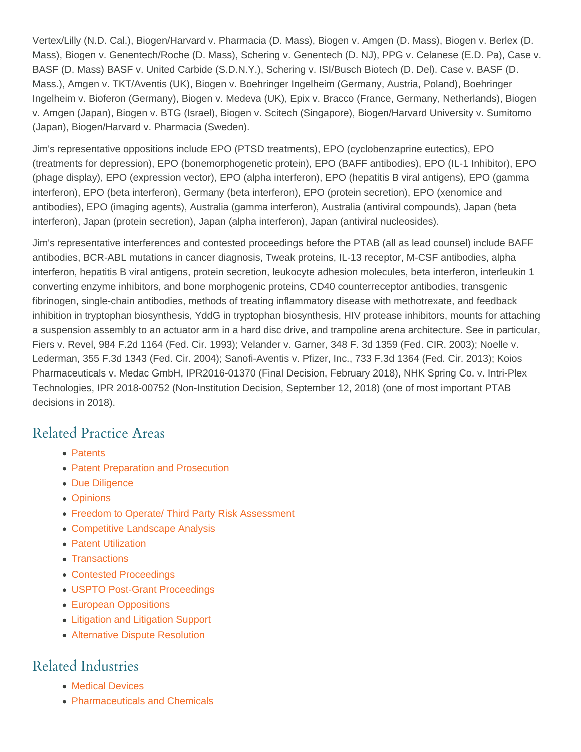Vertex/Lilly (N.D. Cal.), Biogen/Harvard v. Pharmacia (D. Mass), Biogen v. Amgen (D. Mass), Biogen v. Berlex (D. Mass), Biogen v. Genentech/Roche (D. Mass), Schering v. Genentech (D. NJ), PPG v. Celanese (E.D. Pa), Case v. BASF (D. Mass) BASF v. United Carbide (S.D.N.Y.), Schering v. ISI/Busch Biotech (D. Del). Case v. BASF (D. Mass.), Amgen v. TKT/Aventis (UK), Biogen v. Boehringer Ingelheim (Germany, Austria, Poland), Boehringer Ingelheim v. Bioferon (Germany), Biogen v. Medeva (UK), Epix v. Bracco (France, Germany, Netherlands), Biogen v. Amgen (Japan), Biogen v. BTG (Israel), Biogen v. Scitech (Singapore), Biogen/Harvard University v. Sumitomo (Japan), Biogen/Harvard v. Pharmacia (Sweden).

Jim's representative oppositions include EPO (PTSD treatments), EPO (cyclobenzaprine eutectics), EPO (treatments for depression), EPO (bonemorphogenetic protein), EPO (BAFF antibodies), EPO (IL-1 Inhibitor), EPO (phage display), EPO (expression vector), EPO (alpha interferon), EPO (hepatitis B viral antigens), EPO (gamma interferon), EPO (beta interferon), Germany (beta interferon), EPO (protein secretion), EPO (xenomice and antibodies), EPO (imaging agents), Australia (gamma interferon), Australia (antiviral compounds), Japan (beta interferon), Japan (protein secretion), Japan (alpha interferon), Japan (antiviral nucleosides).

Jim's representative interferences and contested proceedings before the PTAB (all as lead counsel) include BAFF antibodies, BCR-ABL mutations in cancer diagnosis, Tweak proteins, IL-13 receptor, M-CSF antibodies, alpha interferon, hepatitis B viral antigens, protein secretion, leukocyte adhesion molecules, beta interferon, interleukin 1 converting enzyme inhibitors, and bone morphogenic proteins, CD40 counterreceptor antibodies, transgenic fibrinogen, single-chain antibodies, methods of treating inflammatory disease with methotrexate, and feedback inhibition in tryptophan biosynthesis, YddG in tryptophan biosynthesis, HIV protease inhibitors, mounts for attaching a suspension assembly to an actuator arm in a hard disc drive, and trampoline arena architecture. See in particular, Fiers v. Revel, 984 F.2d 1164 (Fed. Cir. 1993); Velander v. Garner, 348 F. 3d 1359 (Fed. CIR. 2003); Noelle v. Lederman, 355 F.3d 1343 (Fed. Cir. 2004); Sanofi-Aventis v. Pfizer, Inc., 733 F.3d 1364 (Fed. Cir. 2013); Koios Pharmaceuticals v. Medac GmbH, IPR2016-01370 (Final Decision, February 2018), NHK Spring Co. v. Intri-Plex Technologies, IPR 2018-00752 (Non-Institution Decision, September 12, 2018) (one of most important PTAB decisions in 2018).

# Related Practice Areas

- [Patents](https://www.hglaw.com/practice-areas/patents/)
- [Patent Preparation and Prosecution](https://www.hglaw.com/practice-areas/patents/patent-preparation-prosecution/)
- [Due Diligence](https://www.hglaw.com/practice-areas/strategic-counseling/due-diligence/)
- [Opinions](https://www.hglaw.com/practice-areas/strategic-counseling/opinions/)
- [Freedom to Operate/ Third Party Risk Assessment](https://www.hglaw.com/practice-areas/strategic-counseling/freedom-to-operate-third-party-risk-assessment/)
- [Competitive Landscape Analysis](https://www.hglaw.com/practice-areas/strategic-counseling/competitive-landscape-analysis/)
- [Patent Utilization](https://www.hglaw.com/practice-areas/strategic-counseling/patent-utilization/)
- [Transactions](https://www.hglaw.com/practice-areas/strategic-counseling/transactions/)
- [Contested Proceedings](https://www.hglaw.com/practice-areas/contested-proceedings/)
- [USPTO Post-Grant Proceedings](https://www.hglaw.com/practice-areas/contested-proceedings/uspto-post-grant-proceedings/)
- [European Oppositions](https://www.hglaw.com/practice-areas/contested-proceedings/european-oppositions/)
- [Litigation and Litigation Support](https://www.hglaw.com/practice-areas/contested-proceedings/litigation-support/)
- [Alternative Dispute Resolution](https://www.hglaw.com/practice-areas/contested-proceedings/alternative-dispute-resolution/)

#### Related Industries

- [Medical Devices](https://www.hglaw.com/industries/medical-devices/)
- [Pharmaceuticals and Chemicals](https://www.hglaw.com/industries/pharmaceuticals-chemicals/)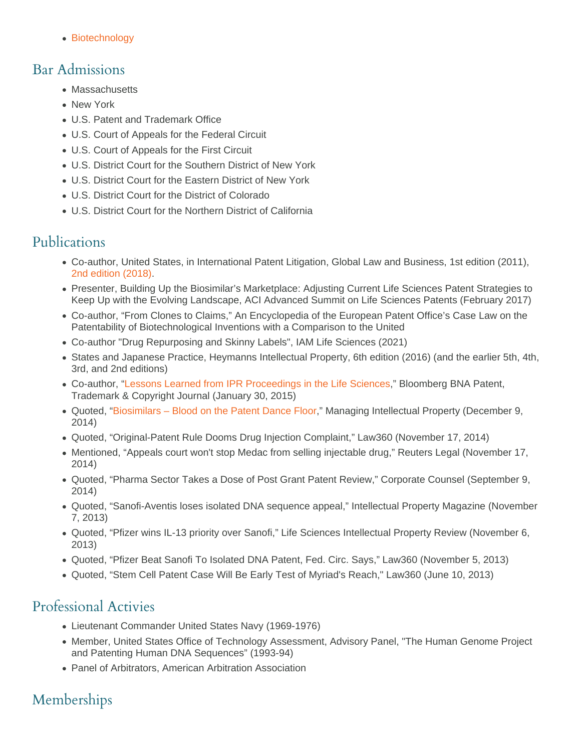[Biotechnology](https://www.hglaw.com/industries/biotechnology/)

#### Bar Admissions

- Massachusetts
- New York
- U.S. Patent and Trademark Office
- U.S. Court of Appeals for the Federal Circuit
- U.S. Court of Appeals for the First Circuit
- U.S. District Court for the Southern District of New York
- U.S. District Court for the Eastern District of New York
- U.S. District Court for the District of Colorado
- U.S. District Court for the Northern District of California

### Publications

- Co-author, United States, in International Patent Litigation, Global Law and Business, 1st edition (2011), [2nd edition \(2018\).](https://www.globelawandbusiness.com/books/international-patent-litigation-developing-an-effective-strategy-second-edition)
- Presenter, Building Up the Biosimilar's Marketplace: Adjusting Current Life Sciences Patent Strategies to Keep Up with the Evolving Landscape, ACI Advanced Summit on Life Sciences Patents (February 2017)
- Co-author, "From Clones to Claims," An Encyclopedia of the European Patent Office's Case Law on the Patentability of Biotechnological Inventions with a Comparison to the United
- Co-author "Drug Repurposing and Skinny Labels", IAM Life Sciences (2021)
- States and Japanese Practice, Heymanns Intellectual Property, 6th edition (2016) (and the earlier 5th, 4th, 3rd, and 2nd editions)
- Co-author, ["Lessons Learned from IPR Proceedings in the Life Sciences](https://www.ropeswealthadvisors.com/-/media/Files/articles/2015/January/PTAB-Series-Karen-M-Jim-H-Adam-S-20150130.pdf?la=en&hash=52BE93E0B3BDD4B8DC243155FD17D11D8CE56424)," Bloomberg BNA Patent, Trademark & Copyright Journal (January 30, 2015)
- Quoted, ["Biosimilars Blood on the Patent Dance Floor,](http://www.managingip.com/Article/3408715/Managing-Patents-Archive/BiosimilarsBlood-on-the-patent-dance-floor.html)" Managing Intellectual Property (December 9, 2014)
- Quoted, "Original-Patent Rule Dooms Drug Injection Complaint," Law360 (November 17, 2014)
- Mentioned, "Appeals court won't stop Medac from selling injectable drug," Reuters Legal (November 17, 2014)
- Quoted, "Pharma Sector Takes a Dose of Post Grant Patent Review," Corporate Counsel (September 9, 2014)
- Quoted, "Sanofi-Aventis loses isolated DNA sequence appeal," Intellectual Property Magazine (November 7, 2013)
- Quoted, "Pfizer wins IL-13 priority over Sanofi," Life Sciences Intellectual Property Review (November 6, 2013)
- Quoted, "Pfizer Beat Sanofi To Isolated DNA Patent, Fed. Circ. Says," Law360 (November 5, 2013)
- Quoted, "Stem Cell Patent Case Will Be Early Test of Myriad's Reach," Law360 (June 10, 2013)

#### Professional Activies

- Lieutenant Commander United States Navy (1969-1976)
- Member, United States Office of Technology Assessment, Advisory Panel, "The Human Genome Project and Patenting Human DNA Sequences" (1993-94)
- Panel of Arbitrators, American Arbitration Association

# Memberships